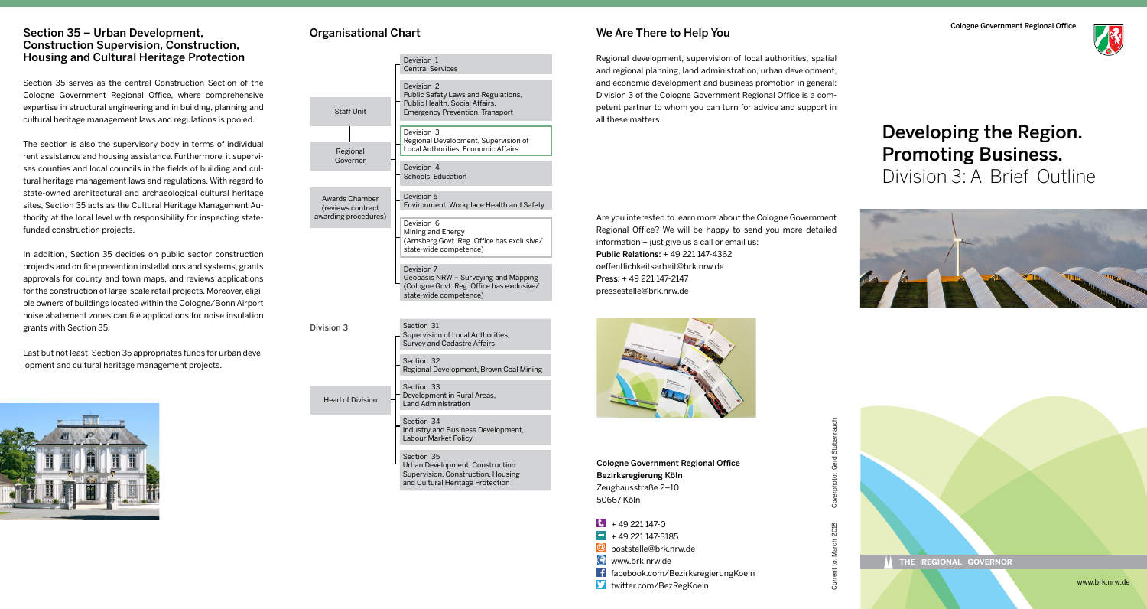#### Section 35 – Urban Development, Construction Supervision, Construction, Housing and Cultural Heritage Protection

Section 35 serves as the central Construction Section of the Cologne Government Regional Office, where comprehensive expertise in structural engineering and in building, planning and cultural heritage management laws and regulations is pooled.

The section is also the supervisory body in terms of individual rent assistance and housing assistance. Furthermore, it supervises counties and local councils in the fields of building and cultural heritage management laws and regulations. With regard to state-owned architectural and archaeological cultural heritage sites, Section 35 acts as the Cultural Heritage Management Authority at the local level with responsibility for inspecting statefunded construction projects.

In addition, Section 35 decides on public sector construction projects and on fire prevention installations and systems, grants approvals for county and town maps, and reviews applications for the construction of large-scale retail projects. Moreover, eligible owners of buildings located within the Cologne/Bonn Airport noise abatement zones can file applications for noise insulation grants with Section 35.

Last but not least, Section 35 appropriates funds for urban development and cultural heritage management projects.



## Organisational Chart

Head of Division

|                                                             | Devision 1<br><b>Central Services</b>                                                                                         |
|-------------------------------------------------------------|-------------------------------------------------------------------------------------------------------------------------------|
|                                                             | Devision 2<br>Public Safety Laws and Regulations,<br>Public Health, Social Affairs,<br><b>Emergency Prevention, Transport</b> |
| <b>Staff Unit</b>                                           |                                                                                                                               |
| Regional<br>Governor                                        | Devision 3<br>Regional Development, Supervision of<br>Local Authorities, Economic Affairs                                     |
|                                                             | Devision 4<br>Schools, Education                                                                                              |
| Awards Chamber<br>(reviews contract<br>awarding procedures) | Devision 5<br>Environment, Workplace Health and Safety                                                                        |
|                                                             | Devision 6<br>Mining and Energy<br>(Arnsberg Govt. Reg. Office has exclusive/<br>state-wide competence)                       |

Devision 7 Geobasis NRW – Surveying and Mapping (Cologne Govt. Reg. Office has exclusive/ state-wide competence)

Division 3 Section 31 Supervision of Local Authorities, Survey and Cadastre Affairs

> Section 32 Regional Development, Brown Coal Mining

Section 33 Development in Rural Areas, Land Administration

Section 34 Industry and Business Development, Labour Market Policy

Section 35 Urban Development, Construction Supervision, Construction, Housing and Cultural Heritage Protection

#### We Are There to Help You

Regional development, supervision of local authorities, spatial and regional planning, land administration, urban development, and economic development and business promotion in general: Division 3 of the Cologne Government Regional Office is a competent partner to whom you can turn for advice and support in all these matters.

Are you interested to learn more about the Cologne Government Regional Office? We will be happy to send you more detailed information – just give us a call or email us: Public Relations: + 49 221 147-4362 oeffentlichkeitsarbeit@brk.nrw.de Press: + 49 221 147-2147 pressestelle@brk.nrw.de



Cologne Government Regional Office Bezirksregierung Köln Zeughausstraße 2–10 50667 Köln

 $\sqrt{6}$  + 49 221 147-0  $\blacksquare$  + 49 221 147-3185 **@** poststelle@brk.nrw.de **Www.brk.nrw.de** facebook.com/BezirksregierungKoeln twitter.com/BezRegKoeln





# Developing the Region. Promoting Business. Division 3: A Brief Outline